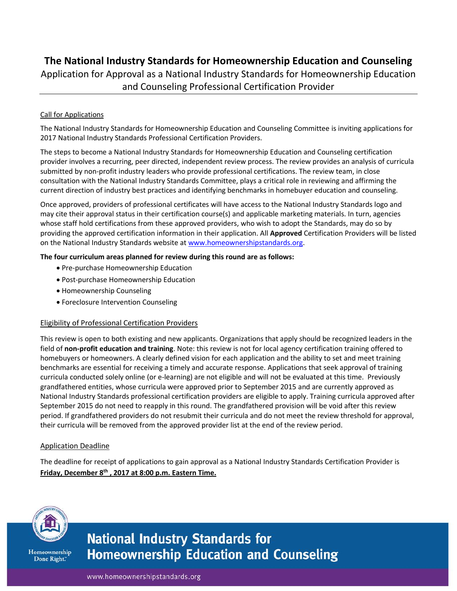# **The National Industry Standards for Homeownership Education and Counseling**

Application for Approval as a National Industry Standards for Homeownership Education and Counseling Professional Certification Provider

### Call for Applications

The National Industry Standards for Homeownership Education and Counseling Committee is inviting applications for 2017 National Industry Standards Professional Certification Providers.

The steps to become a National Industry Standards for Homeownership Education and Counseling certification provider involves a recurring, peer directed, independent review process. The review provides an analysis of curricula submitted by non-profit industry leaders who provide professional certifications. The review team, in close consultation with the National Industry Standards Committee, plays a critical role in reviewing and affirming the current direction of industry best practices and identifying benchmarks in homebuyer education and counseling.

Once approved, providers of professional certificates will have access to the National Industry Standards logo and may cite their approval status in their certification course(s) and applicable marketing materials. In turn, agencies whose staff hold certifications from these approved providers, who wish to adopt the Standards, may do so by providing the approved certification information in their application. All **Approved** Certification Providers will be listed on the National Industry Standards website at [www.homeownershipstandards.org.](http://www.homeownershipstandards.org/)

#### **The four curriculum areas planned for review during this round are as follows:**

- Pre-purchase Homeownership Education
- Post-purchase Homeownership Education
- Homeownership Counseling
- Foreclosure Intervention Counseling

#### Eligibility of Professional Certification Providers

This review is open to both existing and new applicants. Organizations that apply should be recognized leaders in the field of **non-profit education and training**. Note: this review is not for local agency certification training offered to homebuyers or homeowners. A clearly defined vision for each application and the ability to set and meet training benchmarks are essential for receiving a timely and accurate response. Applications that seek approval of training curricula conducted solely online (or e-learning) are not eligible and will not be evaluated at this time. Previously grandfathered entities, whose curricula were approved prior to September 2015 and are currently approved as National Industry Standards professional certification providers are eligible to apply. Training curricula approved after September 2015 do not need to reapply in this round. The grandfathered provision will be void after this review period. If grandfathered providers do not resubmit their curricula and do not meet the review threshold for approval, their curricula will be removed from the approved provider list at the end of the review period.

#### Application Deadline

The deadline for receipt of applications to gain approval as a National Industry Standards Certification Provider is **Friday, December 8 th , 2017 at 8:00 p.m. Eastern Time.**



Homeownership Done Right."

# **National Industry Standards for Homeownership Education and Counseling**

www.homeownershipstandards.org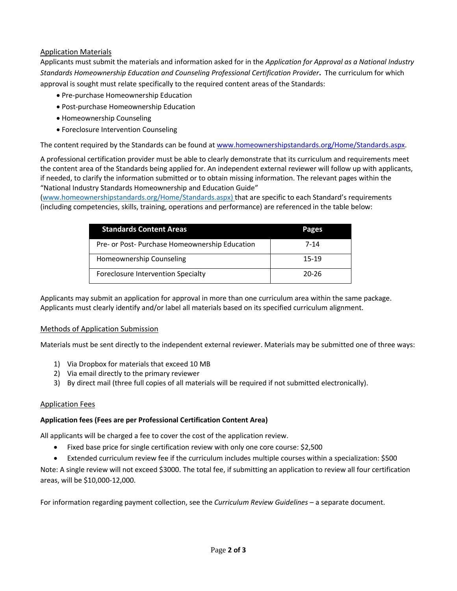#### Application Materials

Applicants must submit the materials and information asked for in the *Application for Approval as a National Industry Standards Homeownership Education and Counseling Professional Certification Provider***.** The curriculum for which approval is sought must relate specifically to the required content areas of the Standards:

- Pre-purchase Homeownership Education
- Post-purchase Homeownership Education
- Homeownership Counseling
- Foreclosure Intervention Counseling

The content required by the Standards can be found a[t www.homeownershipstandards.org/Home/Standards.aspx.](http://www.homeownershipstandards.org/Home/Standards.aspx)

A professional certification provider must be able to clearly demonstrate that its curriculum and requirements meet the content area of the Standards being applied for. An independent external reviewer will follow up with applicants, if needed, to clarify the information submitted or to obtain missing information. The relevant pages within the "National Industry Standards Homeownership and Education Guide"

[\(www.homeownershipstandards.org/Home/Standards.aspx\)](http://www.homeownershipstandards.org/Home/Standards.aspx) that are specific to each Standard's requirements (including competencies, skills, training, operations and performance) are referenced in the table below:

| <b>Standards Content Areas</b>                 | Pages |
|------------------------------------------------|-------|
| Pre- or Post- Purchase Homeownership Education | 7-14  |
| Homeownership Counseling                       | 15-19 |
| Foreclosure Intervention Specialty             | 20-26 |

Applicants may submit an application for approval in more than one curriculum area within the same package. Applicants must clearly identify and/or label all materials based on its specified curriculum alignment.

#### Methods of Application Submission

Materials must be sent directly to the independent external reviewer. Materials may be submitted one of three ways:

- 1) Via Dropbox for materials that exceed 10 MB
- 2) Via email directly to the primary reviewer
- 3) By direct mail (three full copies of all materials will be required if not submitted electronically).

# Application Fees

#### **Application fees (Fees are per Professional Certification Content Area)**

All applicants will be charged a fee to cover the cost of the application review.

- Fixed base price for single certification review with only one core course: \$2,500
- Extended curriculum review fee if the curriculum includes multiple courses within a specialization: \$500

Note: A single review will not exceed \$3000. The total fee, if submitting an application to review all four certification areas, will be \$10,000-12,000.

For information regarding payment collection, see the *Curriculum Review Guidelines* – a separate document.